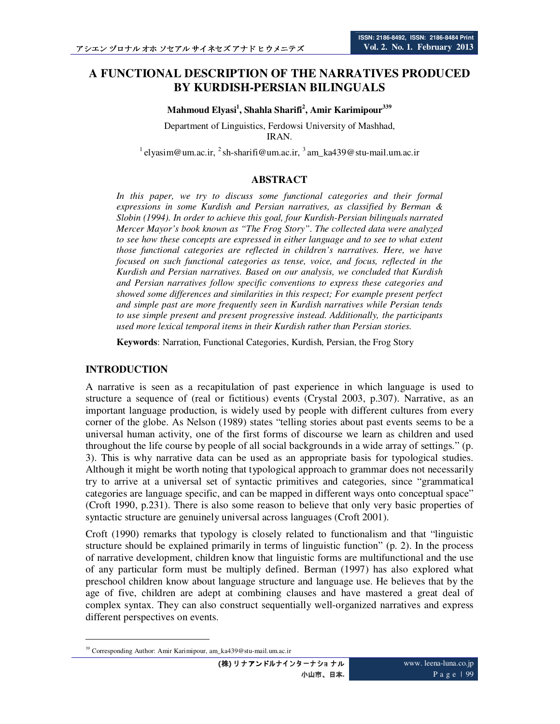# **ISSN: 2186-8492, ISSN: 2186-8484 Print Vol. 2. No. 1. February 2013**

# **A FUNCTIONAL DESCRIPTION OF THE NARRATIVES PRODUCED BY KURDISH-PERSIAN BILINGUALS**

**Mahmoud Elyasi<sup>1</sup> , Shahla Sharifi<sup>2</sup> , Amir Karimipour<sup>339</sup>**

Department of Linguistics, Ferdowsi University of Mashhad, IRAN.

<sup>1</sup> elyasim@um.ac.ir, <sup>2</sup> sh-sharifi@um.ac.ir, <sup>3</sup> am ka439@stu-mail.um.ac.ir

## **ABSTRACT**

In this paper, we try to discuss some functional categories and their formal *expressions in some Kurdish and Persian narratives, as classified by Berman & Slobin (1994). In order to achieve this goal, four Kurdish-Persian bilinguals narrated Mercer Mayor's book known as "The Frog Story". The collected data were analyzed to see how these concepts are expressed in either language and to see to what extent those functional categories are reflected in children's narratives. Here, we have focused on such functional categories as tense, voice, and focus, reflected in the Kurdish and Persian narratives. Based on our analysis, we concluded that Kurdish and Persian narratives follow specific conventions to express these categories and showed some differences and similarities in this respect; For example present perfect and simple past are more frequently seen in Kurdish narratives while Persian tends to use simple present and present progressive instead. Additionally, the participants used more lexical temporal items in their Kurdish rather than Persian stories.* 

**Keywords**: Narration, Functional Categories, Kurdish, Persian, the Frog Story

### **INTRODUCTION**

-

A narrative is seen as a recapitulation of past experience in which language is used to structure a sequence of (real or fictitious) events (Crystal 2003, p.307). Narrative, as an important language production, is widely used by people with different cultures from every corner of the globe. As Nelson (1989) states "telling stories about past events seems to be a universal human activity, one of the first forms of discourse we learn as children and used throughout the life course by people of all social backgrounds in a wide array of settings." (p. 3). This is why narrative data can be used as an appropriate basis for typological studies. Although it might be worth noting that typological approach to grammar does not necessarily try to arrive at a universal set of syntactic primitives and categories, since "grammatical categories are language specific, and can be mapped in different ways onto conceptual space" (Croft 1990, p.231). There is also some reason to believe that only very basic properties of syntactic structure are genuinely universal across languages (Croft 2001).

Croft (1990) remarks that typology is closely related to functionalism and that "linguistic structure should be explained primarily in terms of linguistic function" (p. 2). In the process of narrative development, children know that linguistic forms are multifunctional and the use of any particular form must be multiply defined. Berman (1997) has also explored what preschool children know about language structure and language use. He believes that by the age of five, children are adept at combining clauses and have mastered a great deal of complex syntax. They can also construct sequentially well-organized narratives and express different perspectives on events.

<sup>39</sup> Corresponding Author: Amir Karimipour, am\_ka439@stu-mail.um.ac.ir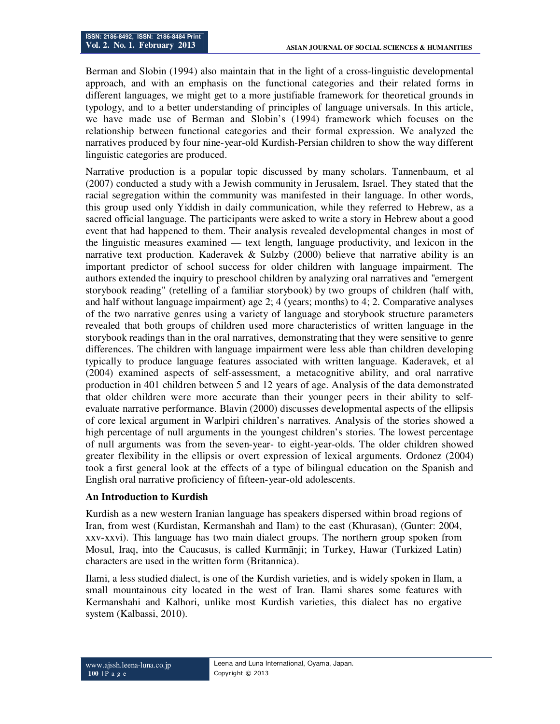Berman and Slobin (1994) also maintain that in the light of a cross-linguistic developmental approach, and with an emphasis on the functional categories and their related forms in different languages, we might get to a more justifiable framework for theoretical grounds in typology, and to a better understanding of principles of language universals. In this article, we have made use of Berman and Slobin's (1994) framework which focuses on the relationship between functional categories and their formal expression. We analyzed the narratives produced by four nine-year-old Kurdish-Persian children to show the way different linguistic categories are produced.

Narrative production is a popular topic discussed by many scholars. Tannenbaum, et al (2007) conducted a study with a Jewish community in Jerusalem, Israel. They stated that the racial segregation within the community was manifested in their language. In other words, this group used only Yiddish in daily communication, while they referred to Hebrew, as a sacred official language. The participants were asked to write a story in Hebrew about a good event that had happened to them. Their analysis revealed developmental changes in most of the linguistic measures examined — text length, language productivity, and lexicon in the narrative text production. Kaderavek & Sulzby  $(2000)$  believe that narrative ability is an important predictor of school success for older children with language impairment. The authors extended the inquiry to preschool children by analyzing oral narratives and "emergent storybook reading" (retelling of a familiar storybook) by two groups of children (half with, and half without language impairment) age  $2$ ; 4 (years; months) to 4; 2. Comparative analyses of the two narrative genres using a variety of language and storybook structure parameters revealed that both groups of children used more characteristics of written language in the storybook readings than in the oral narratives, demonstrating that they were sensitive to genre differences. The children with language impairment were less able than children developing typically to produce language features associated with written language. Kaderavek, et al (2004) examined aspects of self-assessment, a metacognitive ability, and oral narrative production in 401 children between 5 and 12 years of age. Analysis of the data demonstrated that older children were more accurate than their younger peers in their ability to selfevaluate narrative performance. Blavin (2000) discusses developmental aspects of the ellipsis of core lexical argument in Warlpiri children's narratives. Analysis of the stories showed a high percentage of null arguments in the youngest children's stories. The lowest percentage of null arguments was from the seven-year- to eight-year-olds. The older children showed greater flexibility in the ellipsis or overt expression of lexical arguments. Ordonez (2004) took a first general look at the effects of a type of bilingual education on the Spanish and English oral narrative proficiency of fifteen-year-old adolescents.

### **An Introduction to Kurdish**

Kurdish as a new western Iranian language has speakers dispersed within broad regions of Iran, from west (Kurdistan, Kermanshah and Ilam) to the east (Khurasan), (Gunter: 2004, xxv-xxvi). This language has two main dialect groups. The northern group spoken from Mosul, Iraq, into the Caucasus, is called Kurmānji; in Turkey, Hawar (Turkized Latin) characters are used in the written form (Britannica).

Ilami, a less studied dialect, is one of the Kurdish varieties, and is widely spoken in Ilam, a small mountainous city located in the west of Iran. Ilami shares some features with Kermanshahi and Kalhori, unlike most Kurdish varieties, this dialect has no ergative system (Kalbassi, 2010).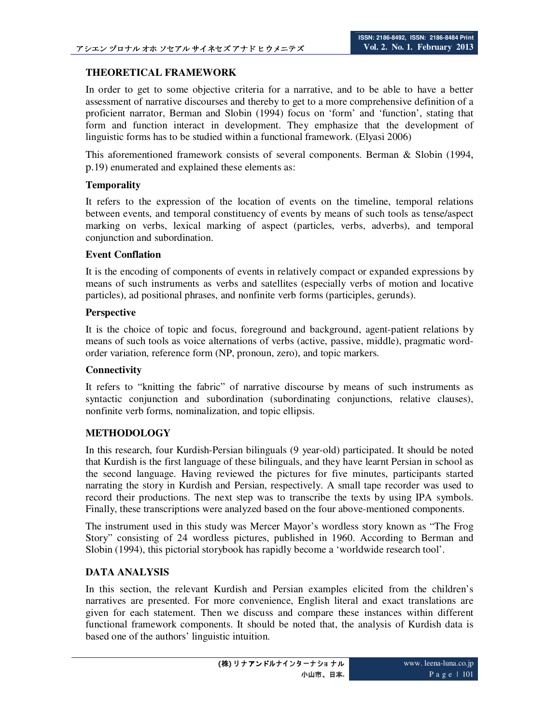## **THEORETICAL FRAMEWORK**

In order to get to some objective criteria for a narrative, and to be able to have a better assessment of narrative discourses and thereby to get to a more comprehensive definition of a proficient narrator, Berman and Slobin (1994) focus on 'form' and 'function', stating that form and function interact in development. They emphasize that the development of linguistic forms has to be studied within a functional framework. (Elyasi 2006)

This aforementioned framework consists of several components. Berman & Slobin (1994, p.19) enumerated and explained these elements as:

### **Temporality**

It refers to the expression of the location of events on the timeline, temporal relations between events, and temporal constituency of events by means of such tools as tense/aspect marking on verbs, lexical marking of aspect (particles, verbs, adverbs), and temporal conjunction and subordination.

### **Event Conflation**

It is the encoding of components of events in relatively compact or expanded expressions by means of such instruments as verbs and satellites (especially verbs of motion and locative particles), ad positional phrases, and nonfinite verb forms (participles, gerunds).

#### **Perspective**

It is the choice of topic and focus, foreground and background, agent-patient relations by means of such tools as voice alternations of verbs (active, passive, middle), pragmatic wordorder variation, reference form (NP, pronoun, zero), and topic markers.

### **Connectivity**

It refers to "knitting the fabric" of narrative discourse by means of such instruments as syntactic conjunction and subordination (subordinating conjunctions, relative clauses), nonfinite verb forms, nominalization, and topic ellipsis.

### **METHODOLOGY**

In this research, four Kurdish-Persian bilinguals (9 year-old) participated. It should be noted that Kurdish is the first language of these bilinguals, and they have learnt Persian in school as the second language. Having reviewed the pictures for five minutes, participants started narrating the story in Kurdish and Persian, respectively. A small tape recorder was used to record their productions. The next step was to transcribe the texts by using IPA symbols. Finally, these transcriptions were analyzed based on the four above-mentioned components.

The instrument used in this study was Mercer Mayor's wordless story known as "The Frog Story" consisting of 24 wordless pictures, published in 1960. According to Berman and Slobin (1994), this pictorial storybook has rapidly become a 'worldwide research tool'.

### **DATA ANALYSIS**

In this section, the relevant Kurdish and Persian examples elicited from the children's narratives are presented. For more convenience, English literal and exact translations are given for each statement. Then we discuss and compare these instances within different functional framework components. It should be noted that, the analysis of Kurdish data is based one of the authors' linguistic intuition.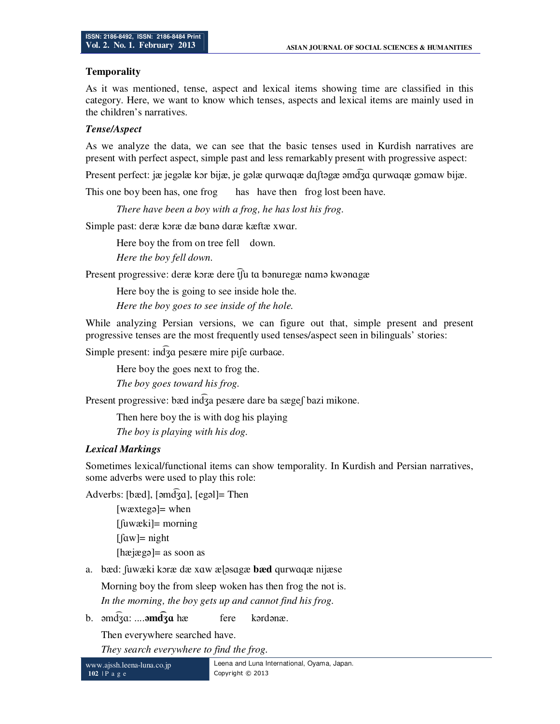### **Temporality**

As it was mentioned, tense, aspect and lexical items showing time are classified in this category. Here, we want to know which tenses, aspects and lexical items are mainly used in the children's narratives.

### *Tense/Aspect*

As we analyze the data, we can see that the basic tenses used in Kurdish narratives are present with perfect aspect, simple past and less remarkably present with progressive aspect:

Present perfect: jæ jegəlæ kor bijæ, je gəlæ qurwaqæ da to analga qurwaqæ gomaw bijæ.

This one boy been has, one frog has have then frog lost been have.

*There have been a boy with a frog, he has lost his frog.* 

Simple past: deræ kɔræ dæ bɑnə dɑræ kæftæ xwɑr.

Here boy the from on tree fell down.

*Here the boy fell down.* 

Present progressive: deræ kɔræ dere t͡ʃu tɑ bənuregæ nɑmə kwənɑgæ

Here boy the is going to see inside hole the.

*Here the boy goes to see inside of the hole.* 

While analyzing Persian versions, we can figure out that, simple present and present progressive tenses are the most frequently used tenses/aspect seen in bilinguals' stories:

Simple present:  $\ln \widehat{d}_3$ a pesære mire pi $\int$ e  $\frac{1}{\sqrt{d}}$ e  $\frac{d}{d}$ 

Here boy the goes next to frog the.

*The boy goes toward his frog.* 

Present progressive: bæd ind͡ʒa pesære dare ba sægeʃ bazi mikone.

Then here boy the is with dog his playing *The boy is playing with his dog.* 

# *Lexical Markings*

Sometimes lexical/functional items can show temporality. In Kurdish and Persian narratives, some adverbs were used to play this role:

Adverbs: [bæd], [əmd͡ʒɑ], [egəl]= Then

[wæxtegə]= when [ʃuwæki]= morning  $[$ [ $\alpha$ w]= night [hæjægə]= as soon as

a. bæd: ʃuwæki kɔræ dæ xɑw æɭəsɑgæ **bæd** qurwɑqæ nijæse

Morning boy the from sleep woken has then frog the not is. *In the morning, the boy gets up and cannot find his frog.* 

b. əmd͡ʒɑ: ....**əmd͡ʒɑ** hæ fere kərdənæ.

Then everywhere searched have.

*They search everywhere to find the frog.*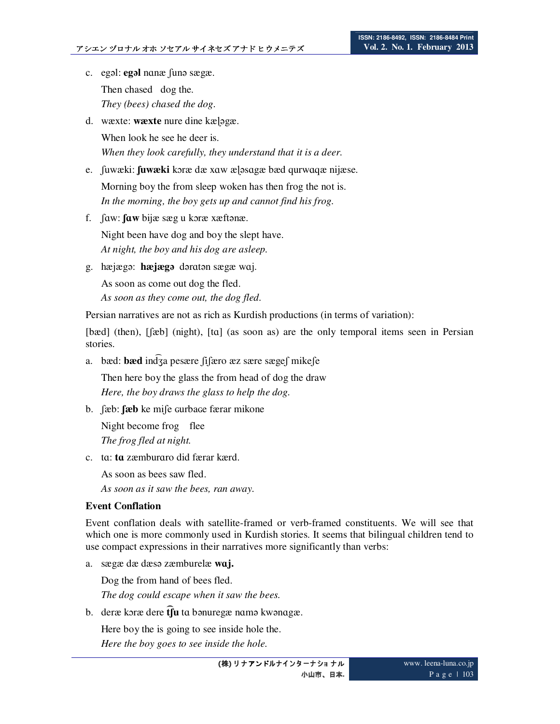- c. egəl: **egəl** nɑnæ ʃunə sægæ. Then chased dog the. *They (bees) chased the dog.*
- d. wæxte: **wæxte** nure dine kælagæ. When look he see he deer is. *When they look carefully, they understand that it is a deer.*
- e. ʃuwæki: **ʃuwæki** kɔræ dæ xɑw æɭəsɑgæ bæd qurwɑqæ nijæse. Morning boy the from sleep woken has then frog the not is. *In the morning, the boy gets up and cannot find his frog.*
- f. ʃɑw: **ʃɑw** bijæ sæg u kɔræ xæftənæ. Night been have dog and boy the slept have. *At night, the boy and his dog are asleep.*
- g. hæjægə: **hæjægə** dərɑtən sægæ wɑj. As soon as come out dog the fled. *As soon as they come out, the dog fled.*

Persian narratives are not as rich as Kurdish productions (in terms of variation):

[bæd] (then), [fæb] (night), [tɑ] (as soon as) are the only temporal items seen in Persian stories.

a. bæd: **bæd** ind͡ʒa pesære ʃiʃæro æz sære sægeʃ mikeʃe

Then here boy the glass the from head of dog the draw *Here, the boy draws the glass to help the dog.* 

b. ʃæb: **ʃæb** ke miʃe ɢurbaɢe færar mikone

Night become frog flee *The frog fled at night.* 

c. tɑ: **tɑ** zæmburɑro did færar kærd.

As soon as bees saw fled.

*As soon as it saw the bees, ran away.* 

# **Event Conflation**

Event conflation deals with satellite-framed or verb-framed constituents. We will see that which one is more commonly used in Kurdish stories. It seems that bilingual children tend to use compact expressions in their narratives more significantly than verbs:

a. sægæ dæ dæsə zæmburelæ **wɑj.** 

Dog the from hand of bees fled.

*The dog could escape when it saw the bees.* 

b. deræ kɔræ dere **t͡ʃu** tɑ bənuregæ nɑmə kwənɑgæ.

Here boy the is going to see inside hole the. *Here the boy goes to see inside the hole.*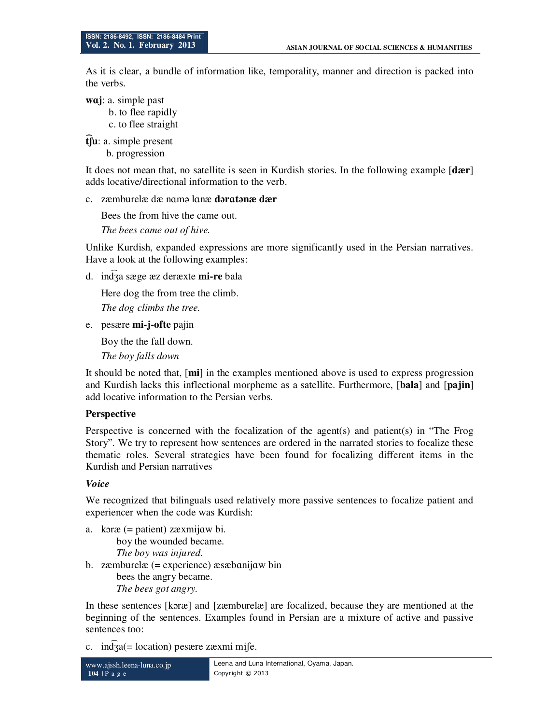As it is clear, a bundle of information like, temporality, manner and direction is packed into the verbs.

**wɑj**: a. simple past

 b. to flee rapidly c. to flee straight

**t͡ʃu**: a. simple present

b. progression

It does not mean that, no satellite is seen in Kurdish stories. In the following example [**dær**] adds locative/directional information to the verb.

## c. zæmburelæ dæ nɑmə lɑnæ **dərɑtənæ dær**

Bees the from hive the came out.

*The bees came out of hive.* 

Unlike Kurdish, expanded expressions are more significantly used in the Persian narratives. Have a look at the following examples:

d. ind͡ʒa sæge æz deræxte **mi-re** bala

Here dog the from tree the climb.

*The dog climbs the tree.* 

e. pesære **mi-j-ofte** pajin

Boy the the fall down.

*The boy falls down* 

It should be noted that, [**mi**] in the examples mentioned above is used to express progression and Kurdish lacks this inflectional morpheme as a satellite. Furthermore, [**bala**] and [**pajin**] add locative information to the Persian verbs.

# **Perspective**

Perspective is concerned with the focalization of the agent(s) and patient(s) in "The Frog Story". We try to represent how sentences are ordered in the narrated stories to focalize these thematic roles. Several strategies have been found for focalizing different items in the Kurdish and Persian narratives

# *Voice*

We recognized that bilinguals used relatively more passive sentences to focalize patient and experiencer when the code was Kurdish:

a. kɔræ (= patient) zæxmijɑw bi. boy the wounded became. *The boy was injured.*  b. zæmburelæ (= experience) æsæbɑnijɑw bin bees the angry became. *The bees got angry.* 

In these sentences [kɔræ] and [zæmburelæ] are focalized, because they are mentioned at the beginning of the sentences. Examples found in Persian are a mixture of active and passive sentences too:

c.  $in\overline{dg}$ a(= location) pesære zæxmi mife.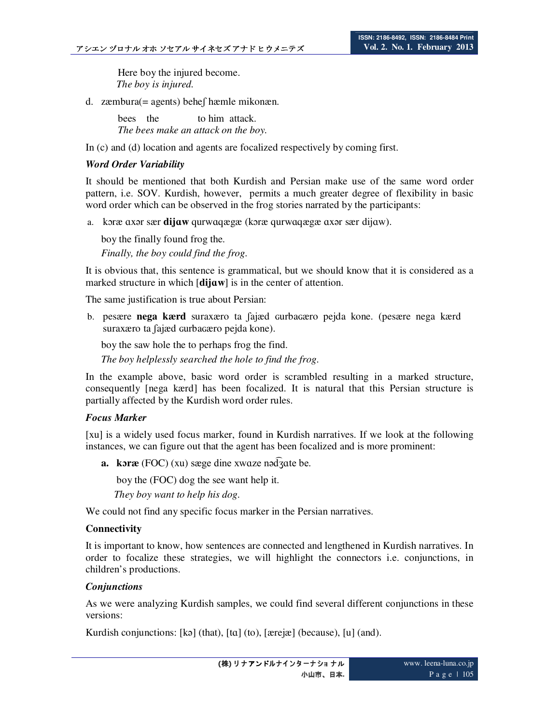Here boy the injured become. *The boy is injured.* 

d. zæmbura(= agents) beheʃ hæmle mikonæn.

bees the to him attack. *The bees make an attack on the boy.* 

In (c) and (d) location and agents are focalized respectively by coming first.

### *Word Order Variability*

It should be mentioned that both Kurdish and Persian make use of the same word order pattern, i.e. SOV. Kurdish, however, permits a much greater degree of flexibility in basic word order which can be observed in the frog stories narrated by the participants:

a. kɔræ ɑxər sær **dijɑw** qurwɑqægæ (kɔræ qurwɑqægæ ɑxər sær dijɑw).

boy the finally found frog the. *Finally, the boy could find the frog.* 

It is obvious that, this sentence is grammatical, but we should know that it is considered as a marked structure in which [**dijɑw**] is in the center of attention.

The same justification is true about Persian:

b. pesære **nega kærd** suraxæro ta ʃajæd ɢurbaɢæro pejda kone. (pesære nega kærd suraxæro ta fajæd curbaçæro pejda kone).

 boy the saw hole the to perhaps frog the find.  *The boy helplessly searched the hole to find the frog.* 

In the example above, basic word order is scrambled resulting in a marked structure, consequently [nega kærd] has been focalized. It is natural that this Persian structure is partially affected by the Kurdish word order rules.

### *Focus Marker*

[xu] is a widely used focus marker, found in Kurdish narratives. If we look at the following instances, we can figure out that the agent has been focalized and is more prominent:

**a. kɔræ** (FOC) (xu) sæge dine xwɑze nəd͡ʒɑte be.

boy the (FOC) dog the see want help it.

 *They boy want to help his dog.* 

We could not find any specific focus marker in the Persian narratives.

### **Connectivity**

It is important to know, how sentences are connected and lengthened in Kurdish narratives. In order to focalize these strategies, we will highlight the connectors i.e. conjunctions, in children's productions.

### *Conjunctions*

As we were analyzing Kurdish samples, we could find several different conjunctions in these versions:

Kurdish conjunctions: [kə] (that), [tɑ] (to), [ærejæ] (because), [u] (and).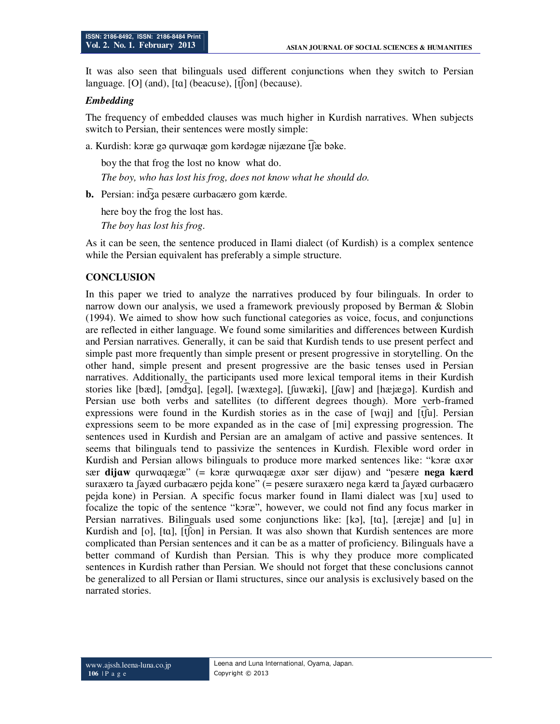It was also seen that bilinguals used different conjunctions when they switch to Persian language. [O] (and),  $[\text{ta}]$  (beacuse),  $[\hat{\text{t}}]$  (because).

#### *Embedding*

The frequency of embedded clauses was much higher in Kurdish narratives. When subjects switch to Persian, their sentences were mostly simple:

a. Kurdish: kɔræ gə qurwɑqæ gom kərdəgæ nijæzɑne t͡ʃæ bəke.

boy the that frog the lost no know what do. *The boy, who has lost his frog, does not know what he should do.* 

**b.** Persian: ind $\overline{3}$ a pesære gurbaçæro gom kærde.

here boy the frog the lost has. *The boy has lost his frog.* 

As it can be seen, the sentence produced in Ilami dialect (of Kurdish) is a complex sentence while the Persian equivalent has preferably a simple structure.

#### **CONCLUSION**

In this paper we tried to analyze the narratives produced by four bilinguals. In order to narrow down our analysis, we used a framework previously proposed by Berman & Slobin (1994). We aimed to show how such functional categories as voice, focus, and conjunctions are reflected in either language. We found some similarities and differences between Kurdish and Persian narratives. Generally, it can be said that Kurdish tends to use present perfect and simple past more frequently than simple present or present progressive in storytelling. On the other hand, simple present and present progressive are the basic tenses used in Persian narratives. Additionally, the participants used more lexical temporal items in their Kurdish stories like [bæd], [əmd͡ʒɑ], [egəl], [wæxtegə], [ʃuwæki], [ʃɑw] and [hæjægə]. Kurdish and Persian use both verbs and satellites (to different degrees though). More verb-framed expressions were found in the Kurdish stories as in the case of [wɑj] and [t͡ʃu]. Persian expressions seem to be more expanded as in the case of [mi] expressing progression. The sentences used in Kurdish and Persian are an amalgam of active and passive sentences. It seems that bilinguals tend to passivize the sentences in Kurdish. Flexible word order in Kurdish and Persian allows bilinguals to produce more marked sentences like: "koræ axar sær **dijɑw** qurwɑqægæ" (= kɔræ qurwɑqægæ ɑxər sær dijɑw) and "pesære **nega kærd** suraxæro ta fayæd curbaçæro pejda kone" (= pesære suraxæro nega kærd ta fayæd curbaçæro pejda kone) in Persian. A specific focus marker found in Ilami dialect was [xu] used to focalize the topic of the sentence "kɔræ", however, we could not find any focus marker in Persian narratives. Bilinguals used some conjunctions like: [kə], [tɑ], [ærejæ] and [u] in Kurdish and [o], [ta], [tʃon] in Persian. It was also shown that Kurdish sentences are more complicated than Persian sentences and it can be as a matter of proficiency. Bilinguals have a better command of Kurdish than Persian. This is why they produce more complicated sentences in Kurdish rather than Persian. We should not forget that these conclusions cannot be generalized to all Persian or Ilami structures, since our analysis is exclusively based on the narrated stories.